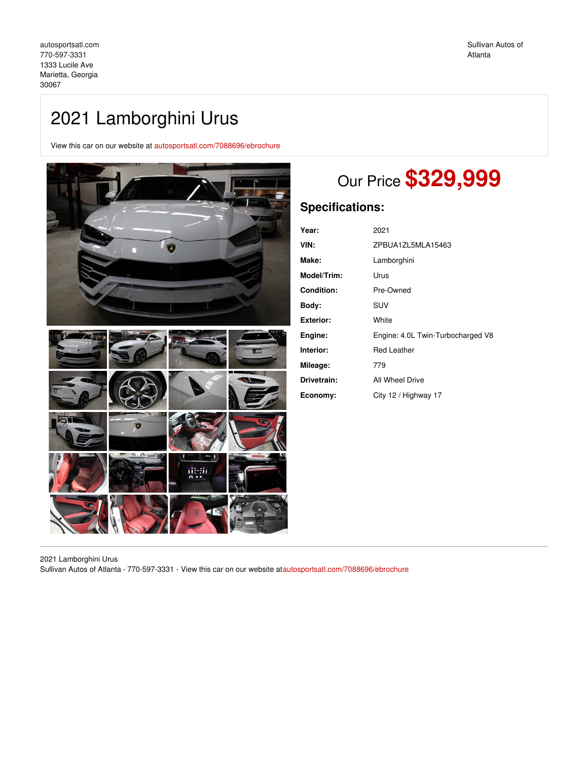## 2021 Lamborghini Urus

View this car on our website at [autosportsatl.com/7088696/ebrochure](https://autosportsatl.com/vehicle/7088696/2021-lamborghini-urus-marietta-georgia-30067/7088696/ebrochure)



# Our Price **\$329,999**

## **Specifications:**

| Year:            | 2021                              |
|------------------|-----------------------------------|
| VIN:             | ZPBUA1ZL5MLA15463                 |
| Make:            | Lamborghini                       |
| Model/Trim:      | Urus                              |
| Condition:       | Pre-Owned                         |
| Body:            | SUV                               |
| <b>Exterior:</b> | White                             |
| Engine:          | Engine: 4.0L Twin-Turbocharged V8 |
| Interior:        | Red Leather                       |
| Mileage:         | 779                               |
| Drivetrain:      | All Wheel Drive                   |
| Economy:         | City 12 / Highway 17              |

2021 Lamborghini Urus Sullivan Autos of Atlanta - 770-597-3331 - View this car on our website a[tautosportsatl.com/7088696/ebrochure](https://autosportsatl.com/vehicle/7088696/2021-lamborghini-urus-marietta-georgia-30067/7088696/ebrochure)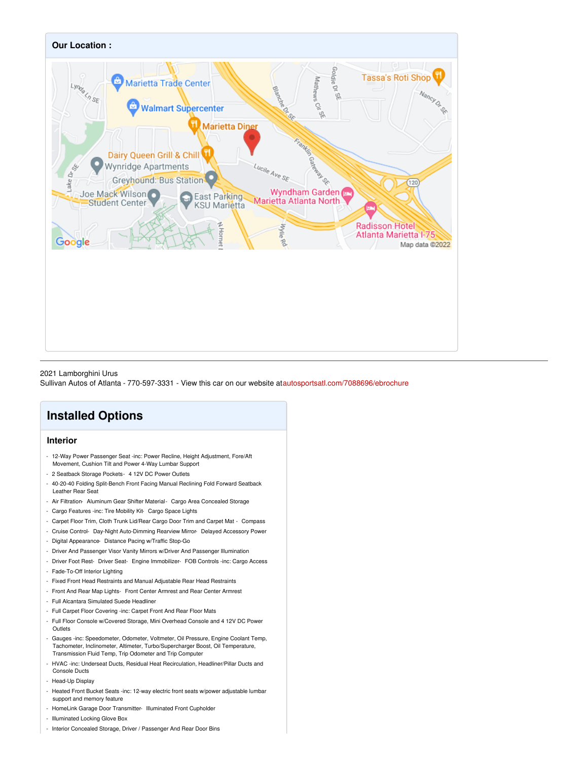

### 2021 Lamborghini Urus

Sullivan Autos of Atlanta - 770-597-3331 - View this car on our website a[tautosportsatl.com/7088696/ebrochure](https://autosportsatl.com/vehicle/7088696/2021-lamborghini-urus-marietta-georgia-30067/7088696/ebrochure)

## **Installed Options**

## **Interior**

- 12-Way Power Passenger Seat -inc: Power Recline, Height Adjustment, Fore/Aft Movement, Cushion Tilt and Power 4-Way Lumbar Support
- 2 Seatback Storage Pockets- 4 12V DC Power Outlets
- 40-20-40 Folding Split-Bench Front Facing Manual Reclining Fold Forward Seatback Leather Rear Seat
- Air Filtration- Aluminum Gear Shifter Material- Cargo Area Concealed Storage
- Cargo Features -inc: Tire Mobility Kit- Cargo Space Lights
- Carpet Floor Trim, Cloth Trunk Lid/Rear Cargo Door Trim and Carpet Mat Compass
- Cruise Control- Day-Night Auto-Dimming Rearview Mirror- Delayed Accessory Power
- Digital Appearance- Distance Pacing w/Traffic Stop-Go
- Driver And Passenger Visor Vanity Mirrors w/Driver And Passenger Illumination
- Driver Foot Rest- Driver Seat- Engine Immobilizer- FOB Controls -inc: Cargo Access - Fade-To-Off Interior Lighting
- Fixed Front Head Restraints and Manual Adjustable Rear Head Restraints
- Front And Rear Map Lights- Front Center Armrest and Rear Center Armrest
- Full Alcantara Simulated Suede Headliner
- Full Carpet Floor Covering -inc: Carpet Front And Rear Floor Mats
- Full Floor Console w/Covered Storage, Mini Overhead Console and 4 12V DC Power Outlets
- Gauges -inc: Speedometer, Odometer, Voltmeter, Oil Pressure, Engine Coolant Temp, Tachometer, Inclinometer, Altimeter, Turbo/Supercharger Boost, Oil Temperature, Transmission Fluid Temp, Trip Odometer and Trip Computer
- HVAC -inc: Underseat Ducts, Residual Heat Recirculation, Headliner/Pillar Ducts and Console Ducts
- Head-Up Display
- Heated Front Bucket Seats -inc: 12-way electric front seats w/power adjustable lumbar support and memory feature
- HomeLink Garage Door Transmitter- Illuminated Front Cupholder
- Illuminated Locking Glove Box
- Interior Concealed Storage, Driver / Passenger And Rear Door Bins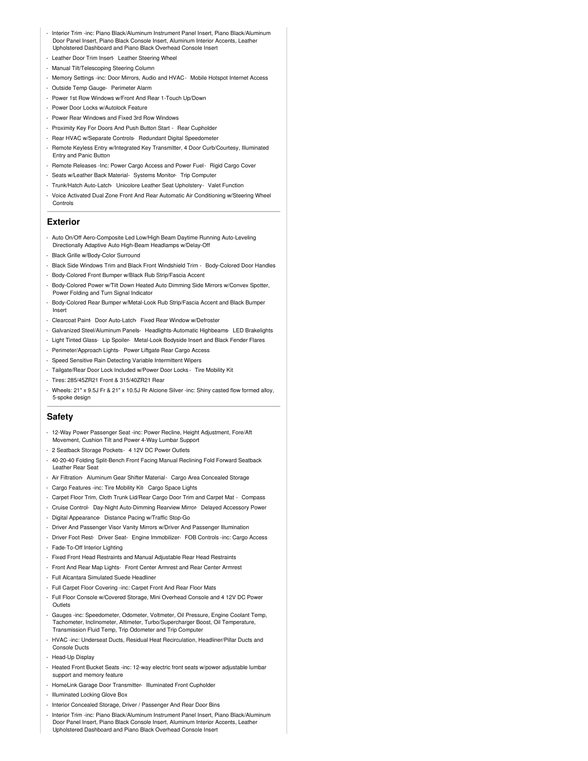- Interior Trim -inc: Piano Black/Aluminum Instrument Panel Insert, Piano Black/Aluminum Door Panel Insert, Piano Black Console Insert, Aluminum Interior Accents, Leather Upholstered Dashboard and Piano Black Overhead Console Insert
- Leather Door Trim Insert- Leather Steering Wheel
- Manual Tilt/Telescoping Steering Column
- Memory Settings -inc: Door Mirrors, Audio and HVAC- Mobile Hotspot Internet Access
- Outside Temp Gauge- Perimeter Alarm
- Power 1st Row Windows w/Front And Rear 1-Touch Up/Down
- Power Door Locks w/Autolock Feature
- Power Rear Windows and Fixed 3rd Row Windows
- Proximity Key For Doors And Push Button Start Rear Cupholder
- Rear HVAC w/Separate Controls- Redundant Digital Speedometer
- Remote Keyless Entry w/Integrated Key Transmitter, 4 Door Curb/Courtesy, Illuminated Entry and Panic Button
- Remote Releases -Inc: Power Cargo Access and Power Fuel- Rigid Cargo Cover
- Seats w/Leather Back Material- Systems Monitor- Trip Computer
- Trunk/Hatch Auto-Latch- Unicolore Leather Seat Upholstery- Valet Function
- Voice Activated Dual Zone Front And Rear Automatic Air Conditioning w/Steering Wheel Controls

#### **Exterior**

- Auto On/Off Aero-Composite Led Low/High Beam Daytime Running Auto-Leveling Directionally Adaptive Auto High-Beam Headlamps w/Delay-Off
- Black Grille w/Body-Color Surround
- Black Side Windows Trim and Black Front Windshield Trim Body-Colored Door Handles
- Body-Colored Front Bumper w/Black Rub Strip/Fascia Accent
- Body-Colored Power w/Tilt Down Heated Auto Dimming Side Mirrors w/Convex Spotter, Power Folding and Turn Signal Indicator
- Body-Colored Rear Bumper w/Metal-Look Rub Strip/Fascia Accent and Black Bumper Insert
- Clearcoat Paint- Door Auto-Latch- Fixed Rear Window w/Defroster
- Galvanized Steel/Aluminum Panels- Headlights-Automatic Highbeams- LED Brakelights
- Light Tinted Glass- Lip Spoiler- Metal-Look Bodyside Insert and Black Fender Flares
- Perimeter/Approach Lights- Power Liftgate Rear Cargo Access
- Speed Sensitive Rain Detecting Variable Intermittent Wipers
- Tailgate/Rear Door Lock Included w/Power Door Locks Tire Mobility Kit
- Tires: 285/45ZR21 Front & 315/40ZR21 Rear
- Wheels: 21" x 9.5J Fr & 21" x 10.5J Rr Alcione Silver -inc: Shiny casted flow formed alloy, 5-spoke design

## **Safety**

- 12-Way Power Passenger Seat -inc: Power Recline, Height Adjustment, Fore/Aft Movement, Cushion Tilt and Power 4-Way Lumbar Support
- 2 Seatback Storage Pockets- 4 12V DC Power Outlets
- 40-20-40 Folding Split-Bench Front Facing Manual Reclining Fold Forward Seatback Leather Rear Seat
- Air Filtration- Aluminum Gear Shifter Material- Cargo Area Concealed Storage
- Cargo Features -inc: Tire Mobility Kit- Cargo Space Lights
- Carpet Floor Trim, Cloth Trunk Lid/Rear Cargo Door Trim and Carpet Mat Compass
- Cruise Control- Day-Night Auto-Dimming Rearview Mirror- Delayed Accessory Power
- Digital Appearance- Distance Pacing w/Traffic Stop-Go
- Driver And Passenger Visor Vanity Mirrors w/Driver And Passenger Illumination
- Driver Foot Rest- Driver Seat- Engine Immobilizer- FOB Controls -inc: Cargo Access - Fade-To-Off Interior Lighting
- Fixed Front Head Restraints and Manual Adjustable Rear Head Restraints
- Front And Rear Map Lights- Front Center Armrest and Rear Center Armrest
- Full Alcantara Simulated Suede Headliner
- Full Carpet Floor Covering -inc: Carpet Front And Rear Floor Mats
- Full Floor Console w/Covered Storage, Mini Overhead Console and 4 12V DC Power **Outlets**
- Gauges -inc: Speedometer, Odometer, Voltmeter, Oil Pressure, Engine Coolant Temp, Tachometer, Inclinometer, Altimeter, Turbo/Supercharger Boost, Oil Temperature, Transmission Fluid Temp, Trip Odometer and Trip Computer
- HVAC -inc: Underseat Ducts, Residual Heat Recirculation, Headliner/Pillar Ducts and Console Ducts
- Head-Up Display
- Heated Front Bucket Seats -inc: 12-way electric front seats w/power adjustable lumbar support and memory feature
- HomeLink Garage Door Transmitter- Illuminated Front Cupholder
- Illuminated Locking Glove Box
- Interior Concealed Storage, Driver / Passenger And Rear Door Bins
- Interior Trim -inc: Piano Black/Aluminum Instrument Panel Insert, Piano Black/Aluminum Door Panel Insert, Piano Black Console Insert, Aluminum Interior Accents, Leather Upholstered Dashboard and Piano Black Overhead Console Insert